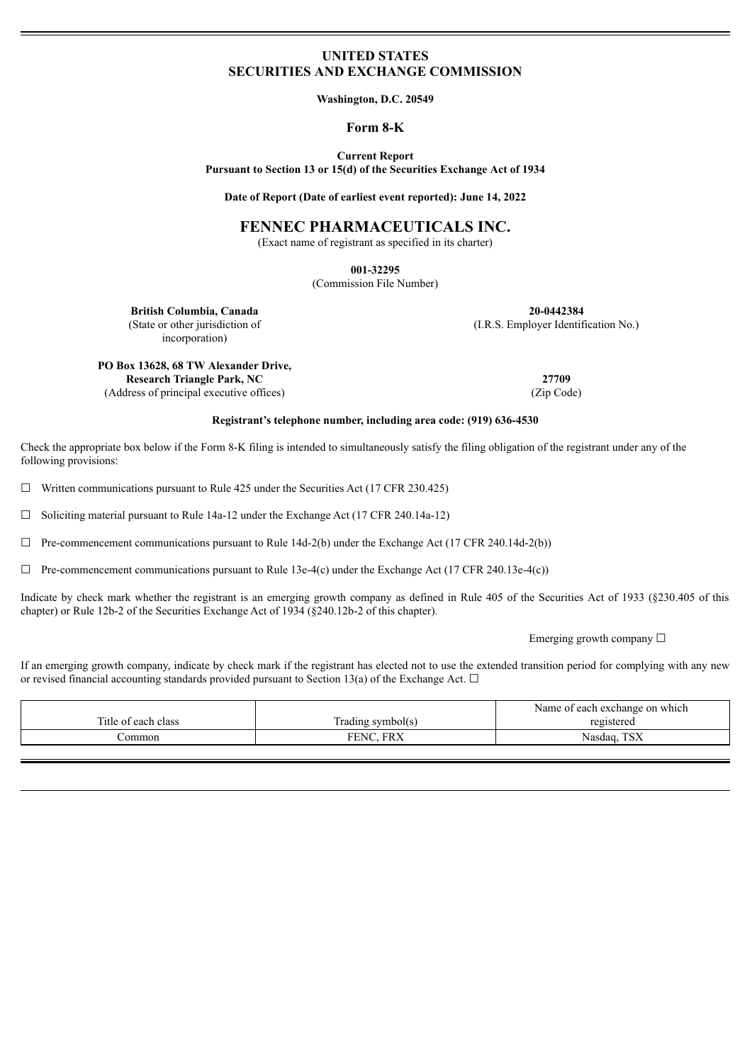## **UNITED STATES SECURITIES AND EXCHANGE COMMISSION**

**Washington, D.C. 20549**

#### **Form 8-K**

**Current Report Pursuant to Section 13 or 15(d) of the Securities Exchange Act of 1934**

**Date of Report (Date of earliest event reported): June 14, 2022**

# **FENNEC PHARMACEUTICALS INC.**

(Exact name of registrant as specified in its charter)

**001-32295**

(Commission File Number)

**British Columbia, Canada 20-0442384** (State or other jurisdiction of incorporation)

(I.R.S. Employer Identification No.)

**PO Box 13628, 68 TW Alexander Drive, Research Triangle Park, NC 27709** (Address of principal executive offices) (Zip Code)

#### **Registrant's telephone number, including area code: (919) 636-4530**

Check the appropriate box below if the Form 8-K filing is intended to simultaneously satisfy the filing obligation of the registrant under any of the following provisions:

 $\Box$  Written communications pursuant to Rule 425 under the Securities Act (17 CFR 230.425)

☐ Soliciting material pursuant to Rule 14a-12 under the Exchange Act (17 CFR 240.14a-12)

 $\Box$  Pre-commencement communications pursuant to Rule 14d-2(b) under the Exchange Act (17 CFR 240.14d-2(b))

 $\Box$  Pre-commencement communications pursuant to Rule 13e-4(c) under the Exchange Act (17 CFR 240.13e-4(c))

Indicate by check mark whether the registrant is an emerging growth company as defined in Rule 405 of the Securities Act of 1933 (§230.405 of this chapter) or Rule 12b-2 of the Securities Exchange Act of 1934 (§240.12b-2 of this chapter).

Emerging growth company  $\Box$ 

If an emerging growth company, indicate by check mark if the registrant has elected not to use the extended transition period for complying with any new or revised financial accounting standards provided pursuant to Section 13(a) of the Exchange Act.  $\Box$ 

|                     |                               | Name of each exchange on which |
|---------------------|-------------------------------|--------------------------------|
| Title of each class | frading symbol(s)             | registered                     |
| ommon/              | FDV<br>FENC<br>' $\mathbf{M}$ | TCV<br>Nasdag.<br>1 D.A        |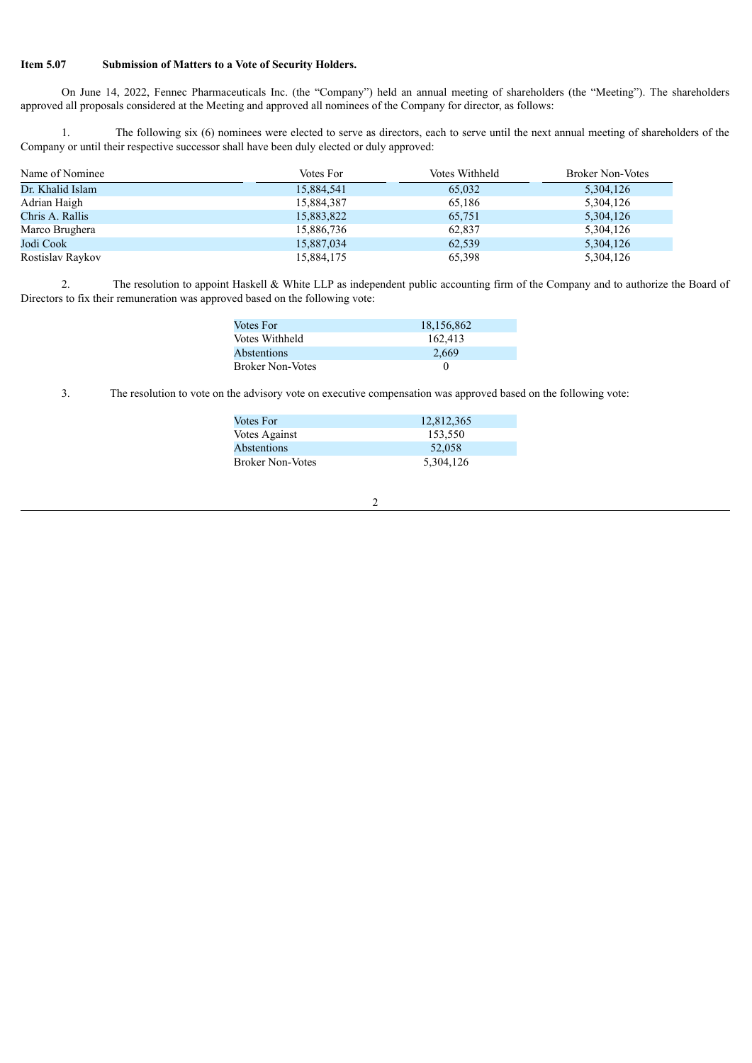#### **Item 5.07 Submission of Matters to a Vote of Security Holders.**

On June 14, 2022, Fennec Pharmaceuticals Inc. (the "Company") held an annual meeting of shareholders (the "Meeting"). The shareholders approved all proposals considered at the Meeting and approved all nominees of the Company for director, as follows:

1. The following six (6) nominees were elected to serve as directors, each to serve until the next annual meeting of shareholders of the Company or until their respective successor shall have been duly elected or duly approved:

| Name of Nominee  | Votes For  | Votes Withheld | <b>Broker Non-Votes</b> |
|------------------|------------|----------------|-------------------------|
| Dr. Khalid Islam | 15,884,541 | 65,032         | 5,304,126               |
| Adrian Haigh     | 15,884,387 | 65,186         | 5,304,126               |
| Chris A. Rallis  | 15,883,822 | 65,751         | 5,304,126               |
| Marco Brughera   | 15,886,736 | 62,837         | 5,304,126               |
| Jodi Cook        | 15,887,034 | 62,539         | 5,304,126               |
| Rostislav Raykov | 15,884,175 | 65,398         | 5,304,126               |

2. The resolution to appoint Haskell & White LLP as independent public accounting firm of the Company and to authorize the Board of Directors to fix their remuneration was approved based on the following vote:

| Votes For               | 18,156,862 |
|-------------------------|------------|
| Votes Withheld          | 162.413    |
| Abstentions             | 2.669      |
| <b>Broker Non-Votes</b> |            |

3. The resolution to vote on the advisory vote on executive compensation was approved based on the following vote:

| 12,812,365 |
|------------|
| 153.550    |
| 52,058     |
| 5,304,126  |
|            |

2